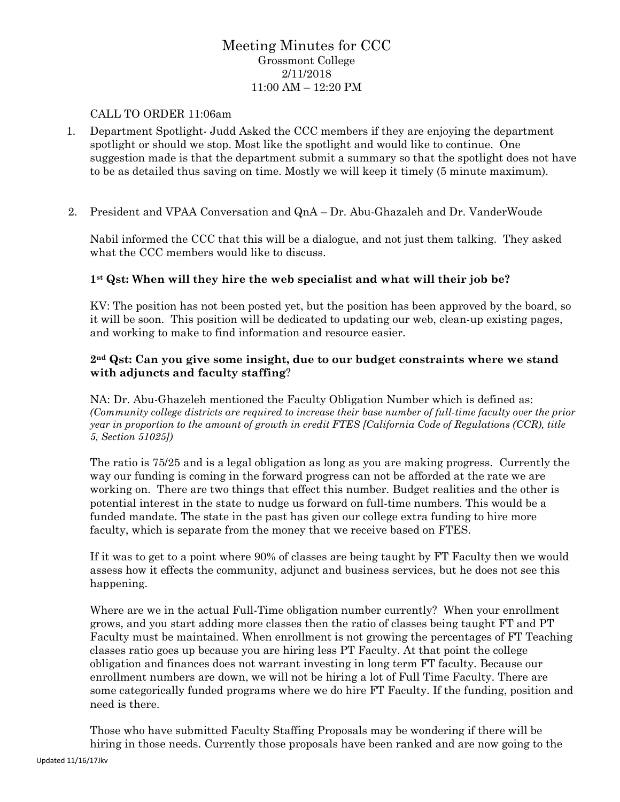## Meeting Minutes for CCC Grossmont College 2/11/2018 11:00 AM – 12:20 PM

#### CALL TO ORDER 11:06am

- 1. Department Spotlight- Judd Asked the CCC members if they are enjoying the department spotlight or should we stop. Most like the spotlight and would like to continue. One suggestion made is that the department submit a summary so that the spotlight does not have to be as detailed thus saving on time. Mostly we will keep it timely (5 minute maximum).
- 2. President and VPAA Conversation and QnA Dr. Abu-Ghazaleh and Dr. VanderWoude

Nabil informed the CCC that this will be a dialogue, and not just them talking. They asked what the CCC members would like to discuss.

#### **1st Qst: When will they hire the web specialist and what will their job be?**

KV: The position has not been posted yet, but the position has been approved by the board, so it will be soon. This position will be dedicated to updating our web, clean-up existing pages, and working to make to find information and resource easier.

#### **2nd Qst: Can you give some insight, due to our budget constraints where we stand with adjuncts and faculty staffing**?

NA: Dr. Abu-Ghazeleh mentioned the Faculty Obligation Number which is defined as: *(Community college districts are required to increase their base number of full-time faculty over the prior year in proportion to the amount of growth in credit FTES [California Code of Regulations (CCR), title 5, Section 51025])*

The ratio is 75/25 and is a legal obligation as long as you are making progress. Currently the way our funding is coming in the forward progress can not be afforded at the rate we are working on. There are two things that effect this number. Budget realities and the other is potential interest in the state to nudge us forward on full-time numbers. This would be a funded mandate. The state in the past has given our college extra funding to hire more faculty, which is separate from the money that we receive based on FTES.

If it was to get to a point where 90% of classes are being taught by FT Faculty then we would assess how it effects the community, adjunct and business services, but he does not see this happening.

Where are we in the actual Full-Time obligation number currently? When your enrollment grows, and you start adding more classes then the ratio of classes being taught FT and PT Faculty must be maintained. When enrollment is not growing the percentages of FT Teaching classes ratio goes up because you are hiring less PT Faculty. At that point the college obligation and finances does not warrant investing in long term FT faculty. Because our enrollment numbers are down, we will not be hiring a lot of Full Time Faculty. There are some categorically funded programs where we do hire FT Faculty. If the funding, position and need is there.

Those who have submitted Faculty Staffing Proposals may be wondering if there will be hiring in those needs. Currently those proposals have been ranked and are now going to the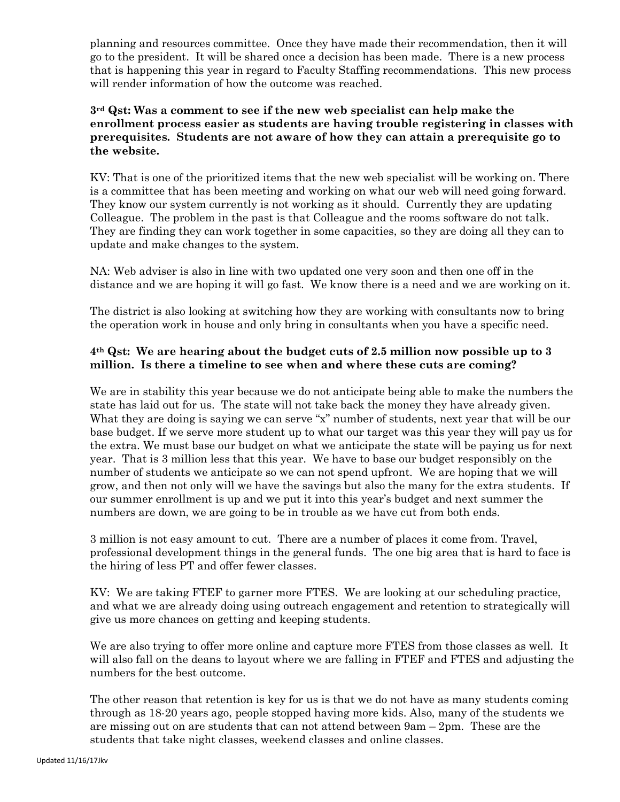planning and resources committee. Once they have made their recommendation, then it will go to the president. It will be shared once a decision has been made. There is a new process that is happening this year in regard to Faculty Staffing recommendations. This new process will render information of how the outcome was reached.

#### **3rd Qst: Was a comment to see if the new web specialist can help make the enrollment process easier as students are having trouble registering in classes with prerequisites. Students are not aware of how they can attain a prerequisite go to the website.**

KV: That is one of the prioritized items that the new web specialist will be working on. There is a committee that has been meeting and working on what our web will need going forward. They know our system currently is not working as it should. Currently they are updating Colleague. The problem in the past is that Colleague and the rooms software do not talk. They are finding they can work together in some capacities, so they are doing all they can to update and make changes to the system.

NA: Web adviser is also in line with two updated one very soon and then one off in the distance and we are hoping it will go fast. We know there is a need and we are working on it.

The district is also looking at switching how they are working with consultants now to bring the operation work in house and only bring in consultants when you have a specific need.

### **4th Qst: We are hearing about the budget cuts of 2.5 million now possible up to 3 million. Is there a timeline to see when and where these cuts are coming?**

We are in stability this year because we do not anticipate being able to make the numbers the state has laid out for us. The state will not take back the money they have already given. What they are doing is saying we can serve "x" number of students, next year that will be our base budget. If we serve more student up to what our target was this year they will pay us for the extra. We must base our budget on what we anticipate the state will be paying us for next year. That is 3 million less that this year. We have to base our budget responsibly on the number of students we anticipate so we can not spend upfront. We are hoping that we will grow, and then not only will we have the savings but also the many for the extra students. If our summer enrollment is up and we put it into this year's budget and next summer the numbers are down, we are going to be in trouble as we have cut from both ends.

3 million is not easy amount to cut. There are a number of places it come from. Travel, professional development things in the general funds. The one big area that is hard to face is the hiring of less PT and offer fewer classes.

KV: We are taking FTEF to garner more FTES. We are looking at our scheduling practice, and what we are already doing using outreach engagement and retention to strategically will give us more chances on getting and keeping students.

We are also trying to offer more online and capture more FTES from those classes as well. It will also fall on the deans to layout where we are falling in FTEF and FTES and adjusting the numbers for the best outcome.

The other reason that retention is key for us is that we do not have as many students coming through as 18-20 years ago, people stopped having more kids. Also, many of the students we are missing out on are students that can not attend between 9am – 2pm. These are the students that take night classes, weekend classes and online classes.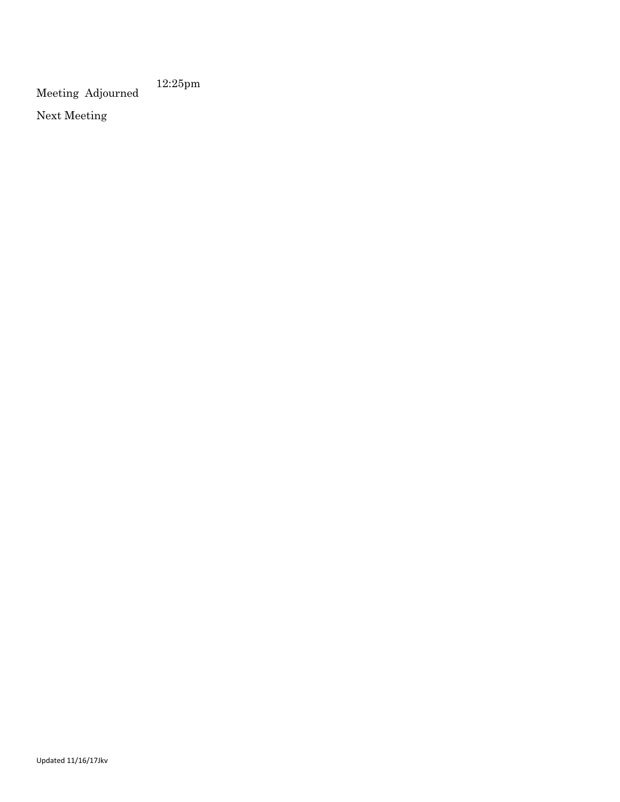Meeting Adjourned 12:25pm

Next Meeting